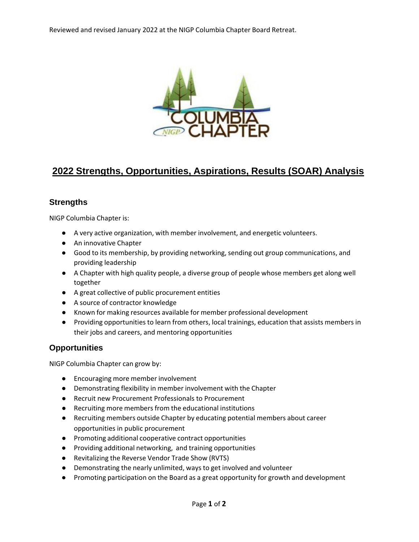

# **2022 Strengths, Opportunities, Aspirations, Results (SOAR) Analysis**

## **Strengths**

NIGP Columbia Chapter is:

- A very active organization, with member involvement, and energetic volunteers.
- An innovative Chapter
- Good to its membership, by providing networking, sending out group communications, and providing leadership
- A Chapter with high quality people, a diverse group of people whose members get along well together
- A great collective of public procurement entities
- A source of contractor knowledge
- Known for making resources available for member professional development
- Providing opportunities to learn from others, local trainings, education that assists members in their jobs and careers, and mentoring opportunities

### **Opportunities**

NIGP Columbia Chapter can grow by:

- Encouraging more member involvement
- Demonstrating flexibility in member involvement with the Chapter
- Recruit new Procurement Professionals to Procurement
- Recruiting more members from the educational institutions
- Recruiting members outside Chapter by educating potential members about career opportunities in public procurement
- Promoting additional cooperative contract opportunities
- Providing additional networking, and training opportunities
- Revitalizing the Reverse Vendor Trade Show (RVTS)
- Demonstrating the nearly unlimited, ways to get involved and volunteer
- Promoting participation on the Board as a great opportunity for growth and development